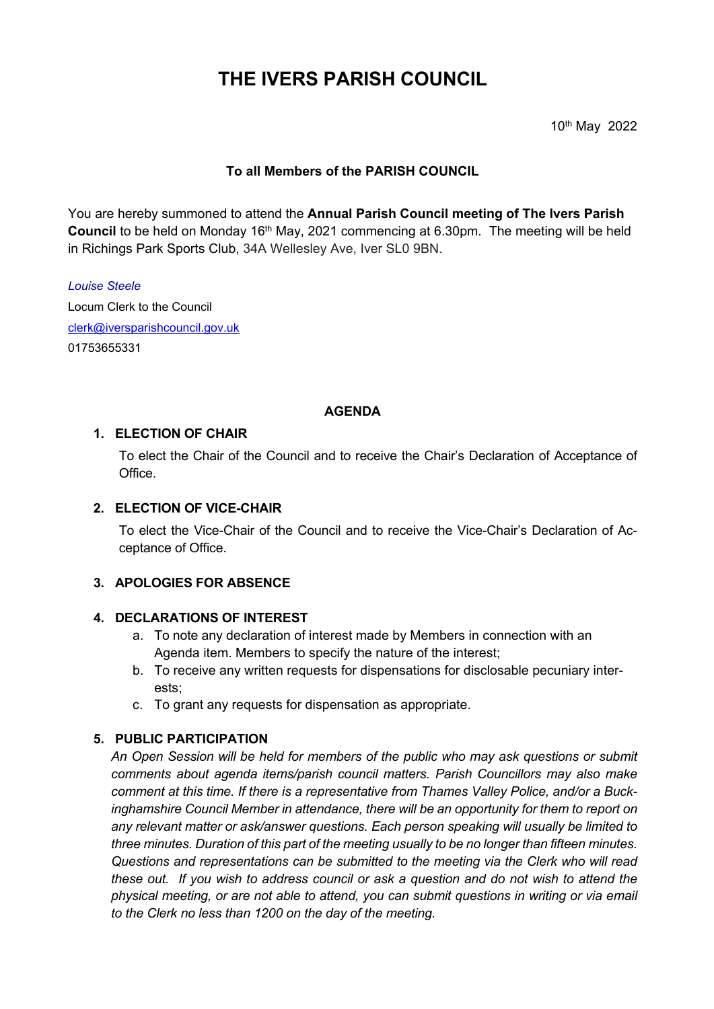# **THE IVERS PARISH COUNCIL**

10th May 2022

# **To all Members of the PARISH COUNCIL**

You are hereby summoned to attend the **Annual Parish Council meeting of The Ivers Parish Council** to be held on Monday 16<sup>th</sup> May, 2021 commencing at 6.30pm. The meeting will be held in Richings Park Sports Club, 34A Wellesley Ave, Iver SL0 9BN.

*Louise Steele* Locum Clerk to the Council [clerk@iversparishcouncil.gov.uk](mailto:clerk@iversparishcouncil.gov.uk) 01753655331

### **AGENDA**

### **1. ELECTION OF CHAIR**

To elect the Chair of the Council and to receive the Chair's Declaration of Acceptance of Office.

### **2. ELECTION OF VICE-CHAIR**

To elect the Vice-Chair of the Council and to receive the Vice-Chair's Declaration of Acceptance of Office.

### **3. APOLOGIES FOR ABSENCE**

#### **4. DECLARATIONS OF INTEREST**

- a. To note any declaration of interest made by Members in connection with an Agenda item. Members to specify the nature of the interest;
- b. To receive any written requests for dispensations for disclosable pecuniary interests;
- c. To grant any requests for dispensation as appropriate.

#### **5. PUBLIC PARTICIPATION**

*An Open Session will be held for members of the public who may ask questions or submit comments about agenda items/parish council matters. Parish Councillors may also make comment at this time. If there is a representative from Thames Valley Police, and/or a Buckinghamshire Council Member in attendance, there will be an opportunity for them to report on any relevant matter or ask/answer questions. Each person speaking will usually be limited to three minutes. Duration of this part of the meeting usually to be no longer than fifteen minutes. Questions and representations can be submitted to the meeting via the Clerk who will read these out. If you wish to address council or ask a question and do not wish to attend the physical meeting, or are not able to attend, you can submit questions in writing or via email to the Clerk no less than 1200 on the day of the meeting.*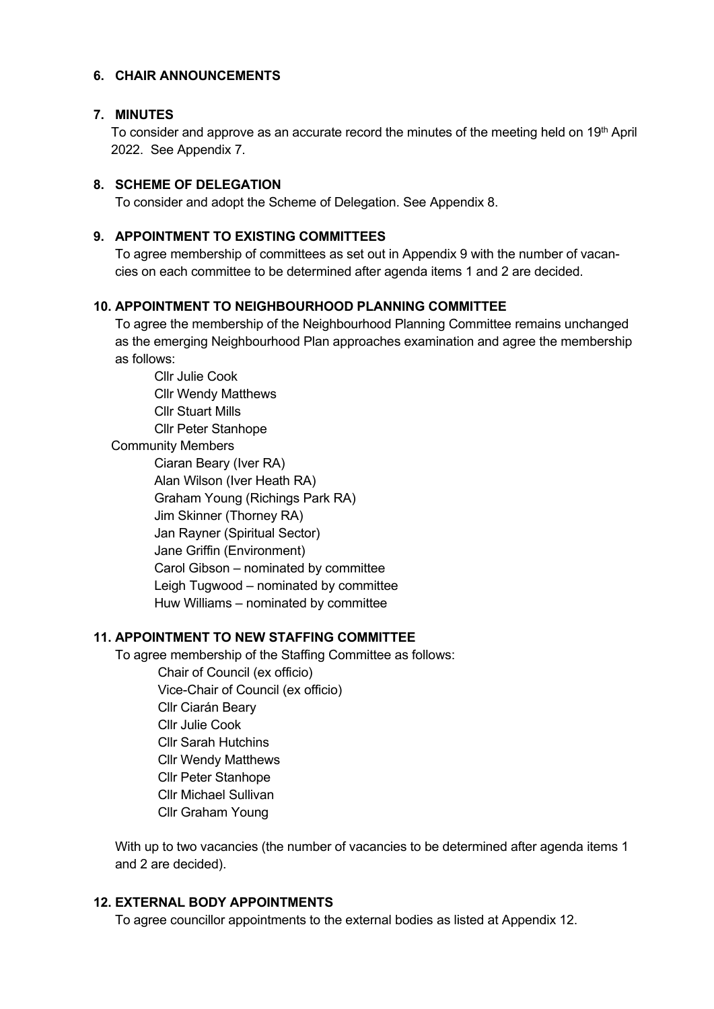### **6. CHAIR ANNOUNCEMENTS**

# **7. MINUTES**

To consider and approve as an accurate record the minutes of the meeting held on 19<sup>th</sup> April 2022. See Appendix 7.

# **8. SCHEME OF DELEGATION**

To consider and adopt the Scheme of Delegation. See Appendix 8.

# **9. APPOINTMENT TO EXISTING COMMITTEES**

To agree membership of committees as set out in Appendix 9 with the number of vacancies on each committee to be determined after agenda items 1 and 2 are decided.

# **10. APPOINTMENT TO NEIGHBOURHOOD PLANNING COMMITTEE**

To agree the membership of the Neighbourhood Planning Committee remains unchanged as the emerging Neighbourhood Plan approaches examination and agree the membership as follows:

Cllr Julie Cook Cllr Wendy Matthews Cllr Stuart Mills Cllr Peter Stanhope Community Members Ciaran Beary (Iver RA) Alan Wilson (Iver Heath RA) Graham Young (Richings Park RA) Jim Skinner (Thorney RA) Jan Rayner (Spiritual Sector) Jane Griffin (Environment) Carol Gibson – nominated by committee Leigh Tugwood – nominated by committee Huw Williams – nominated by committee

# **11. APPOINTMENT TO NEW STAFFING COMMITTEE**

To agree membership of the Staffing Committee as follows:

Chair of Council (ex officio) Vice-Chair of Council (ex officio) Cllr Ciarán Beary Cllr Julie Cook Cllr Sarah Hutchins Cllr Wendy Matthews Cllr Peter Stanhope Cllr Michael Sullivan Cllr Graham Young

With up to two vacancies (the number of vacancies to be determined after agenda items 1 and 2 are decided).

# **12. EXTERNAL BODY APPOINTMENTS**

To agree councillor appointments to the external bodies as listed at Appendix 12.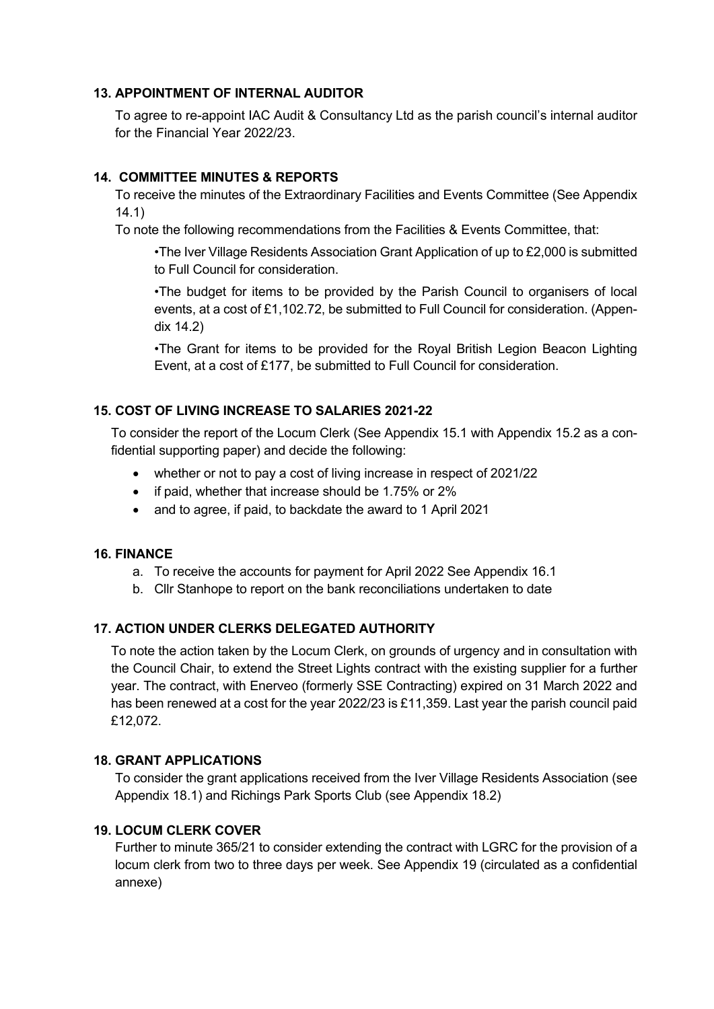# **13. APPOINTMENT OF INTERNAL AUDITOR**

To agree to re-appoint IAC Audit & Consultancy Ltd as the parish council's internal auditor for the Financial Year 2022/23.

# **14. COMMITTEE MINUTES & REPORTS**

To receive the minutes of the Extraordinary Facilities and Events Committee (See Appendix 14.1)

To note the following recommendations from the Facilities & Events Committee, that:

•The Iver Village Residents Association Grant Application of up to £2,000 is submitted to Full Council for consideration.

•The budget for items to be provided by the Parish Council to organisers of local events, at a cost of £1,102.72, be submitted to Full Council for consideration. (Appendix 14.2)

•The Grant for items to be provided for the Royal British Legion Beacon Lighting Event, at a cost of £177, be submitted to Full Council for consideration.

# **15. COST OF LIVING INCREASE TO SALARIES 2021-22**

To consider the report of the Locum Clerk (See Appendix 15.1 with Appendix 15.2 as a confidential supporting paper) and decide the following:

- whether or not to pay a cost of living increase in respect of 2021/22
- if paid, whether that increase should be 1.75% or 2%
- and to agree, if paid, to backdate the award to 1 April 2021

### **16. FINANCE**

- a. To receive the accounts for payment for April 2022 See Appendix 16.1
- b. Cllr Stanhope to report on the bank reconciliations undertaken to date

# **17. ACTION UNDER CLERKS DELEGATED AUTHORITY**

To note the action taken by the Locum Clerk, on grounds of urgency and in consultation with the Council Chair, to extend the Street Lights contract with the existing supplier for a further year. The contract, with Enerveo (formerly SSE Contracting) expired on 31 March 2022 and has been renewed at a cost for the year 2022/23 is £11,359. Last year the parish council paid £12,072.

### **18. GRANT APPLICATIONS**

To consider the grant applications received from the Iver Village Residents Association (see Appendix 18.1) and Richings Park Sports Club (see Appendix 18.2)

### **19. LOCUM CLERK COVER**

Further to minute 365/21 to consider extending the contract with LGRC for the provision of a locum clerk from two to three days per week. See Appendix 19 (circulated as a confidential annexe)